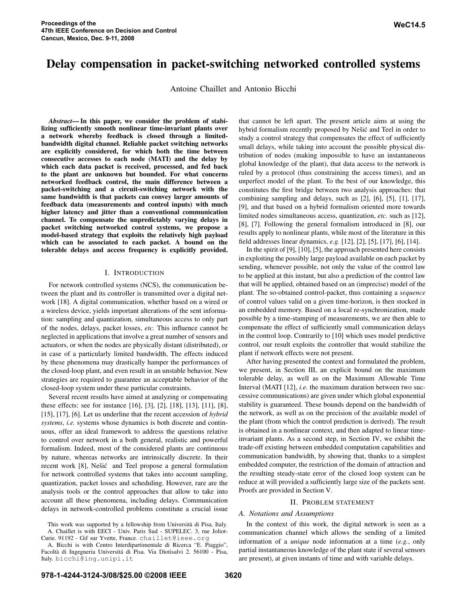Antoine Chaillet and Antonio Bicchi

*Abstract*— In this paper, we consider the problem of stabilizing sufficiently smooth nonlinear time-invariant plants over a network whereby feedback is closed through a limitedbandwidth digital channel. Reliable packet switching networks are explicitly considered, for which both the time between consecutive accesses to each node (MATI) and the delay by which each data packet is received, processed, and fed back to the plant are unknown but bounded. For what concerns networked feedback control, the main difference between a packet-switching and a circuit-switching network with the same bandwidth is that packets can convey larger amounts of feedback data (measurements and control inputs) with much higher latency and jitter than a conventional communication channel. To compensate the unpredictably varying delays in packet switching networked control systems, we propose a model-based strategy that exploits the relatively high payload which can be associated to each packet. A bound on the tolerable delays and access frequency is explicitly provided.

# I. INTRODUCTION

For network controlled systems (NCS), the communication between the plant and its controller is transmitted over a digital network [18]. A digital communication, whether based on a wired or a wireless device, yields important alterations of the sent information: sampling and quantization, simultaneous access to only part of the nodes, delays, packet losses, *etc.* This influence cannot be neglected in applications that involve a great number of sensors and actuators, or when the nodes are physically distant (distributed), or in case of a particularly limited bandwidth, The effects induced by these phenomena may drastically hamper the performances of the closed-loop plant, and even result in an unstable behavior. New strategies are required to guarantee an acceptable behavior of the closed-loop system under these particular constraints.

Several recent results have aimed at analyzing or compensating these effects: see for instance [16], [3], [2], [18], [13], [11], [8], [15], [17], [6]. Let us underline that the recent accession of *hybrid systems*, *i.e.* systems whose dynamics is both discrete and continuous, offer an ideal framework to address the questions relative to control over network in a both general, realistic and powerful formalism. Indeed, most of the considered plants are continuous by nature, whereas networks are intrinsically discrete. In their recent work [8], Nešić and Teel propose a general formulation for network controlled systems that takes into account sampling, quantization, packet losses and scheduling. However, rare are the analysis tools or the control approaches that allow to take into account all these phenomena, including delays. Communication delays in network-controlled problems constitute a crucial issue that cannot be left apart. The present article aims at using the hybrid formalism recently proposed by Nešić and Teel in order to study a control strategy that compensates the effect of sufficiently small delays, while taking into account the possible physical distribution of nodes (making impossible to have an instantaneous global knowledge of the plant), that data access to the network is ruled by a protocol (thus constraining the access times), and an unperfect model of the plant. To the best of our knowledge, this constitutes the first bridge between two analysis approaches: that combining sampling and delays, such as [2], [6], [5], [1], [17], [9], and that based on a hybrid formalism oriented more towards limited nodes simultaneous access, quantization, *etc.* such as [12], [8], [7]. Following the general formalism introduced in [8], our results apply to nonlinear plants, while most of the literature in this field addresses linear dynamics, *e.g.* [12], [2], [5], [17], [6], [14].

In the spirit of [9], [10], [5], the approach presented here consists in exploiting the possibly large payload available on each packet by sending, whenever possible, not only the value of the control law to be applied at this instant, but also a prediction of the control law that will be applied, obtained based on an (imprecise) model of the plant. The so-obtained control-packet, thus containing a *sequence* of control values valid on a given time-horizon, is then stocked in an embedded memory. Based on a local re-synchronization, made possible by a time-stamping of measurements, we are then able to compensate the effect of sufficiently small communication delays in the control loop. Contrarily to [10] which uses model predictive control, our result exploits the controller that would stabilize the plant if network effects were not present.

After having presented the context and formulated the problem, we present, in Section III, an explicit bound on the maximum tolerable delay, as well as on the Maximum Allowable Time Interval (MATI [12], *i.e.* the maximum duration between two successive communications) are given under which global exponential stability is guaranteed. These bounds depend on the bandwidth of the network, as well as on the precision of the available model of the plant (from which the control prediction is derived). The result is obtained in a nonlinear context, and then adapted to linear timeinvariant plants. As a second step, in Section IV, we exhibit the trade-off existing between embedded computation capabilities and communication bandwidth, by showing that, thanks to a simplest embedded computer, the restriction of the domain of attraction and the resulting steady-state error of the closed loop system can be reduce at will provided a sufficiently large size of the packets sent. Proofs are provided in Section V.

## II. PROBLEM STATEMENT

### *A. Notations and Assumptions*

In the context of this work, the digital network is seen as a communication channel which allows the sending of a limited information of a *unique* node information at a time (*e.g.*, only partial instantaneous knowledge of the plant state if several sensors are present), at given instants of time and with variable delays.

This work was supported by a fellowship from Universita di Pisa, Italy. ` A. Chaillet is with EECI - Univ. Paris Sud - SUPELEC. 3, rue Joliot-Curie. 91192 - Gif sur Yvette, France. chaillet@ieee.org

A. Bicchi is with Centro Interdipartimentale di Ricerca "E. Piaggio", Facoltà di Ingegneria Universitá di Pisa. Via Diotisalvi 2. 56100 - Pisa, Italy. bicchi@ing.unipi.it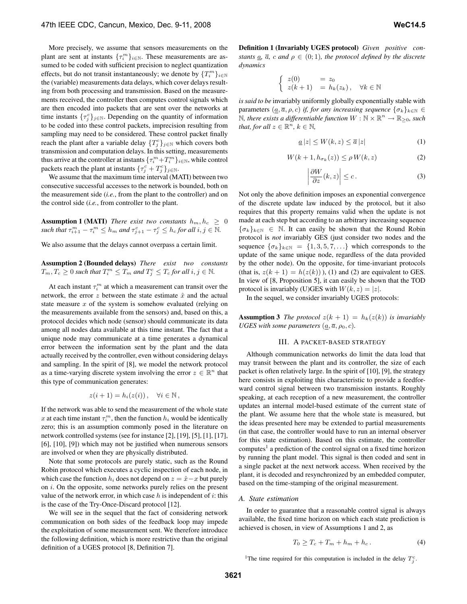More precisely, we assume that sensors measurements on the plant are sent at instants  $\{\tau_i^m\}_{i\in\mathbb{N}}$ . These measurements are assumed to be coded with sufficient precision to neglect quantization effects, but do not transit instantaneously; we denote by  $\{T_i^m\}_{i\in\mathbb{N}}$ the (variable) measurements data delays, which cover delays resulting from both processing and transmission. Based on the measurements received, the controller then computes control signals which are then encoded into packets that are sent over the networks at time instants  $\{\tau_j^c\}_{j\in\mathbb{N}}$ . Depending on the quantity of information to be coded into these control packets, imprecision resulting from sampling may need to be considered. These control packet finally reach the plant after a variable delay  $\{T_j^c\}_{j\in\mathbb{N}}$  which covers both transmission and computation delays. In this setting, measurements thus arrive at the controller at instants  $\{\tau_i^m + T_i^m\}_{i \in \mathbb{N}}$ , while control packets reach the plant at instants  $\{\tau_j^c + T_j^c\}_{j \in \mathbb{N}}$ .

We assume that the maximum time interval (MATI) between two consecutive successful accesses to the network is bounded, both on the measurement side (*i.e.*, from the plant to the controller) and on the control side (*i.e.*, from controller to the plant.

**Assumption 1 (MATI)** *There exist two constants*  $h_m, h_c \geq 0$ such that  $\tau_{i+1}^m - \tau_i^m \leq h_m$  and  $\tau_{j+1}^c - \tau_j^c \leq h_c$  for all  $i, j \in \mathbb{N}$ .

We also assume that the delays cannot overpass a certain limit.

Assumption 2 (Bounded delays) *There exist two constants*  $T_m, T_c \geq 0$  such that  $T_i^m \leq T_m$  and  $T_j^c \leq T_c$  for all  $i, j \in \mathbb{N}$ .

At each instant  $\tau_i^m$  at which a measurement can transit over the network, the error  $z$  between the state estimate  $\hat{x}$  and the actual state measure  $x$  of the system is somehow evaluated (relying on the measurements available from the sensors) and, based on this, a protocol decides which node (sensor) should communicate its data among all nodes data available at this time instant. The fact that a unique node may communicate at a time generates a dynamical error between the information sent by the plant and the data actually received by the controller, even without considering delays and sampling. In the spirit of [8], we model the network protocol as a time-varying discrete system involving the error  $z \in \mathbb{R}^n$  that this type of communication generates:

$$
z(i+1) = h_i(z(i)), \quad \forall i \in \mathbb{N},
$$

If the network was able to send the measurement of the whole state x at each time instant  $\tau_i^m$ , then the function  $h_i$  would be identically zero; this is an assumption commonly posed in the literature on network controlled systems (see for instance [2], [19], [5], [1], [17], [6], [10], [9]) which may not be justified when numerous sensors are involved or when they are physically distributed.

Note that some protocols are purely static, such as the Round Robin protocol which executes a cyclic inspection of each node, in which case the function  $h_i$  does not depend on  $z = \hat{x} - x$  but purely on i. On the opposite, some networks purely relies on the present value of the network error, in which case  $h$  is independent of  $i$ : this is the case of the Try-Once-Discard protocol [12].

We will see in the sequel that the fact of considering network communication on both sides of the feedback loop may impede the exploitation of some measurement sent. We therefore introduce the following definition, which is more restrictive than the original definition of a UGES protocol [8, Definition 7].

Definition 1 (Invariably UGES protocol) *Given positive constants*  $\underline{a}$ *,*  $\overline{a}$ *,*  $c$  *and*  $\rho \in (0,1)$ *, the protocol defined by the discrete dynamics*

$$
\begin{cases}\nz(0) = z_0 \\
z(k+1) = h_k(z_k), \quad \forall k \in \mathbb{N}\n\end{cases}
$$

*is said to be* invariably uniformly globally exponentially stable with parameters  $(a, \overline{a}, \rho, c)$  *if, for any increasing sequence*  $\{\sigma_k\}_{k \in \mathbb{N}} \in$  $\mathbb N$ , there exists a differentiable function  $W : \mathbb N \times \mathbb R^n \to \mathbb R_{\geq 0}$ , such *that, for all*  $z \in \mathbb{R}^n$ *,*  $k \in \mathbb{N}$ *,* 

$$
\underline{a}\,|z| \le W(k,z) \le \overline{a}\,|z|\tag{1}
$$

$$
W(k+1, h_{\sigma_k}(z)) \le \rho W(k, z)
$$
 (2)

$$
\left|\frac{\partial W}{\partial z}(k,z)\right| \le c\,. \tag{3}
$$

Not only the above definition imposes an exponential convergence of the discrete update law induced by the protocol, but it also requires that this property remains valid when the update is not made at each step but according to an arbitrary increasing sequence  ${\{\sigma_k\}}_{k\in\mathbb{N}} \in \mathbb{N}$ . It can easily be shown that the Round Robin protocol is *not* invariably GES (just consider two nodes and the sequence  $\{\sigma_k\}_{k\in\mathbb{N}} = \{1, 3, 5, 7, \ldots\}$  which corresponds to the update of the same unique node, regardless of the data provided by the other node). On the opposite, for time-invariant protocols (that is,  $z(k + 1) = h(z(k))$ ), (1) and (2) are equivalent to GES. In view of [8, Proposition 5], it can easily be shown that the TOD protocol is invariably (U)GES with  $W(k, z) = |z|$ .

In the sequel, we consider invariably UGES protocols:

**Assumption 3** *The protocol*  $z(k + 1) = h_k(z(k))$  *is invariably UGES with some parameters*  $(a, \overline{a}, \rho_0, c)$ *.* 

### III. A PACKET-BASED STRATEGY

Although communication networks do limit the data load that may transit between the plant and its controller, the size of each packet is often relatively large. In the spirit of [10], [9], the strategy here consists in exploiting this characteristic to provide a feedforward control signal between two transmission instants. Roughly speaking, at each reception of a new measurement, the controller updates an internal model-based estimate of the current state of the plant. We assume here that the whole state is measured, but the ideas presented here may be extended to partial measurements (in that case, the controller would have to run an internal observer for this state estimation). Based on this estimate, the controller computes<sup>1</sup> a prediction of the control signal on a fixed time horizon by running the plant model. This signal is then coded and sent in a single packet at the next network access. When received by the plant, it is decoded and resynchronized by an embedded computer, based on the time-stamping of the original measurement.

#### *A. State estimation*

In order to guarantee that a reasonable control signal is always available, the fixed time horizon on which each state prediction is achieved is chosen, in view of Assumptions 1 and 2, as

$$
T_0 \ge T_c + T_m + h_m + h_c \,. \tag{4}
$$

<sup>1</sup>The time required for this computation is included in the delay  $T_j^c$ .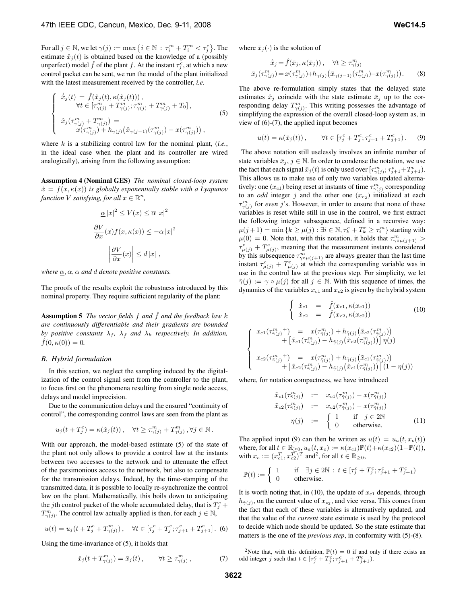For all  $j \in \mathbb{N}$ , we let  $\gamma(j) := \max\left\{i \in \mathbb{N} : \tau_i^m + T_i^m < \tau_j^c\right\}$ . The estimate  $\hat{x}_i(t)$  is obtained based on the knowledge of a (possibly unperfect) model  $\hat{f}$  of the plant f. At the instant  $\tau_j^c$ , at which a new control packet can be sent, we run the model of the plant initialized with the latest measurement received by the controller, *i.e.*

$$
\begin{cases}\n\dot{\hat{x}}_j(t) = \hat{f}(\hat{x}_j(t), \kappa(\hat{x}_j(t))), \\
\forall t \in [\tau_{\gamma(j)}^m + T_{\gamma(j)}^m; \tau_{\gamma(j)}^m + T_{\gamma(j)}^m + T_0], \\
\hat{x}_j(\tau_{\gamma(j)}^m + T_{\gamma(j)}^m) = \\
x(\tau_{\gamma(j)}^m) + h_{\gamma(j)}(\hat{x}_{\gamma(j-1)}(\tau_{\gamma(j)}^m) - x(\tau_{\gamma(j)}^m)),\n\end{cases}
$$
\n(5)

where k is a stabilizing control law for the nominal plant, (*i.e.*, in the ideal case when the plant and its controller are wired analogically), arising from the following assumption:

Assumption 4 (Nominal GES) *The nominal closed-loop system*  $\dot{x} = f(x, \kappa(x))$  *is globally exponentially stable with a Lyapunov function*  $V$  *satisfying, for all*  $x \in \mathbb{R}^n$ *,* 

$$
\underline{\alpha} |x|^2 \le V(x) \le \overline{\alpha} |x|^2
$$

$$
\frac{\partial V}{\partial x}(x) f(x, \kappa(x)) \le -\alpha |x|^2
$$

$$
\left| \frac{\partial V}{\partial x}(x) \right| \le d |x|,
$$

*where*  $\alpha$ ,  $\overline{\alpha}$ ,  $\alpha$  *and d denote positive constants.* 

The proofs of the results exploit the robustness introduced by this nominal property. They require sufficient regularity of the plant:

**Assumption 5** *The vector fields*  $f$  *and*  $\hat{f}$  *and the feedback law*  $k$ *are continuously differentiable and their gradients are bounded by positive constants*  $\lambda_f$ ,  $\lambda_{\hat{f}}$  *and*  $\lambda_k$  *respectively. In addition,*  $\ddot{f}(0, \kappa(0)) = 0.$ 

### *B. Hybrid formulation*

In this section, we neglect the sampling induced by the digitalization of the control signal sent from the controller to the plant, to focus first on the phenomena resulting from single node access, delays and model imprecision.

Due to the communication delays and the ensured "continuity of control", the corresponding control laws are seen from the plant as

$$
u_j(t+T_j^c) = \kappa(\hat{x}_j(t)), \quad \forall t \ge \tau_{\gamma(j)}^m + T_{\gamma(j)}^m, \forall j \in \mathbb{N}.
$$

With our approach, the model-based estimate (5) of the state of the plant not only allows to provide a control law at the instants between two accesses to the network and to attenuate the effect of the parsimonious access to the network, but also to compensate for the transmission delays. Indeed, by the time-stamping of the transmitted data, it is possible to locally re-synchronize the control law on the plant. Mathematically, this boils down to anticipating the *j*th control packet of the whole accumulated delay, that is  $T_j^c$  +  $T^m_{\gamma(j)}$ . The control law actually applied is then, for each  $j \in \mathbb{N}$ ,

$$
u(t) = u_j(t + T_j^c + T_{\gamma(j)}^m), \quad \forall t \in [\tau_j^c + T_j^c; \tau_{j+1}^c + T_{j+1}^c].
$$
 (6)

Using the time-invariance of (5), it holds that

$$
\hat{x}_j(t + T^m_{\gamma(j)}) = \bar{x}_j(t), \qquad \forall t \ge \tau^m_{\gamma(j)}, \tag{7}
$$

where  $\bar{x}_i(\cdot)$  is the solution of

$$
\dot{\bar{x}}_j = \hat{f}(\bar{x}_j, \kappa(\bar{x}_j)), \quad \forall t \ge \tau^m_{\gamma(j)} \bar{x}_j(\tau^m_{\gamma(j)}) = x(\tau^m_{\gamma(j)}) + h_{\gamma(j)}(\bar{x}_{\gamma(j-1)}(\tau^m_{\gamma(j)}) - x(\tau^m_{\gamma(j)})).
$$
\n(8)

The above re-formulation simply states that the delayed state estimates  $\hat{x}_j$  coincide with the state estimate  $\bar{x}_j$  up to the corresponding delay  $T_{\gamma(j)}^m$ . This writing possesses the advantage of simplifying the expression of the overall closed-loop system as, in view of (6)-(7), the applied input becomes

$$
u(t) = \kappa(\bar{x}_j(t)), \qquad \forall t \in [\tau_j^c + T_j^c; \tau_{j+1}^c + T_{j+1}^c).
$$
 (9)

The above notation still uselessly involves an infinite number of state variables  $\bar{x}_i$ ,  $j \in \mathbb{N}$ . In order to condense the notation, we use the fact that each signal  $\bar{x}_j(t)$  is only used over  $[\tau_{\gamma(j)}^m; \tau_{j+1}^c + T_{j+1}^c)$ . This allows us to make use of only two variables updated alternatively: one  $(x_{c1})$  being reset at instants of time  $\tau^m_{\gamma(j)}$  corresponding to an *odd* integer  $j$  and the other one  $(x_{c_2})$  initialized at each  $\tau_{\gamma(j)}^m$  for *even* j's. However, in order to ensure that none of these variables is reset while still in use in the control, we first extract the following integer subsequence, defined in a recursive way:  $\mu(j+1) = \min \{ k \ge \mu(j) : \exists i \in \mathbb{N}, \tau_k^c + T_k^c \ge \tau_i^m \}$  starting with  $\mu(0) = 0$ . Note that, with this notation, it holds that  $\tau_{\gamma \circ \mu(j+1)}^m >$  $\tau_{\mu(j)}^c + T_{\mu(j)}^c$ , meaning that the measurement instants considered by this subsequence  $\tau^m_{\gamma \circ \mu(j+1)}$  are always greater than the last time instant  $\tau_{\mu(j)}^c + T_{\mu(j)}^c$  at which the corresponding variable was in use in the control law at the previous step. For simplicity, we let  $\tilde{\gamma}(j) := \gamma \circ \mu(j)$  for all  $j \in \mathbb{N}$ . With this sequence of times, the dynamics of the variables  $x_{c1}$  and  $x_{c2}$  is given by the hybrid system

$$
\begin{cases}\n\dot{x}_{c1} = \hat{f}(x_{c1}, \kappa(x_{c1})) \\
\dot{x}_{c2} = \hat{f}(x_{c2}, \kappa(x_{c2}))\n\end{cases}
$$
\n(10)\n
$$
\begin{cases}\n x_{c1}(\tau_{\tilde{\gamma}(j)}^{m}) = x(\tau_{\tilde{\gamma}(j)}^{m}) + h_{\tilde{\gamma}(j)}(\tilde{x}_{c2}(\tau_{\tilde{\gamma}(j)}^{m})) \\
+ [\tilde{x}_{c1}(\tau_{\tilde{\gamma}(j)}^{m}) - h_{\tilde{\gamma}(j)}(\tilde{x}_{c2}(\tau_{\tilde{\gamma}(j)}^{m})))] \eta(j) \\
 x_{c2}(\tau_{\tilde{\gamma}(j)}^{m}) = x(\tau_{\tilde{\gamma}(j)}^{m}) + h_{\tilde{\gamma}(j)}(\tilde{x}_{c1}(\tau_{\tilde{\gamma}(j)}^{m})) \\
+ [\tilde{x}_{c2}(\tau_{\tilde{\gamma}(j)}^{m}) - h_{\tilde{\gamma}(j)}(\tilde{x}_{c1}(\tau_{\tilde{\gamma}(j)}^{m})))] (1 - \eta(j))\n\end{cases}
$$

where, for notation compactness, we have introduced

$$
\tilde{x}_{c1}(\tau_{\tilde{\gamma}(j)}^m) := x_{c1}(\tau_{\tilde{\gamma}(j)}^m) - x(\tau_{\tilde{\gamma}(j)}^m)
$$
\n
$$
\tilde{x}_{c2}(\tau_{\tilde{\gamma}(j)}^m) := x_{c2}(\tau_{\tilde{\gamma}(j)}^m) - x(\tau_{\tilde{\gamma}(j)}^m)
$$
\n
$$
\eta(j) := \begin{cases}\n1 & \text{if } j \in 2\mathbb{N} \\
0 & \text{otherwise.} \n\end{cases}
$$
\n(11)

The applied input (9) can then be written as  $u(t) = u_a(t, x_c(t))$ where, for all  $t \in \mathbb{R}_{\geq 0}$ ,  $u_a(t, x_c) := \kappa(x_{c1}) \mathbb{P}(t) + \kappa(x_{c2}) (1 - \mathbb{P}(t)),$ with  $x_c := (x_{c1}^T, x_{c2}^T)^T$  and<sup>2</sup>, for all  $t \in \mathbb{R}_{\geq 0}$ ,

$$
\mathbb{P}(t) := \begin{cases} 1 & \text{if } \exists j \in 2\mathbb{N} : t \in [\tau_j^c + T_j^c, \tau_{j+1}^c + T_{j+1}^c) \\ 0 & \text{otherwise.} \end{cases}
$$

It is worth noting that, in (10), the update of  $x_{c1}$  depends, through  $h_{\tilde{\gamma}(j)}$ , on the current value of  $x_{c_2}$ , and vice versa. This comes from the fact that each of these variables is alternatively updated, and that the value of the *current* state estimate is used by the protocol to decide which node should be updated. So the state estimate that matters is the one of the *previous step*, in conformity with (5)-(8).

<sup>2</sup>Note that, with this definition,  $\mathbb{P}(t) = 0$  if and only if there exists an odd integer j such that  $t \in [\tau_j^c + T_j^c, \tau_{j+1}^c + T_{j+1}^c)$ .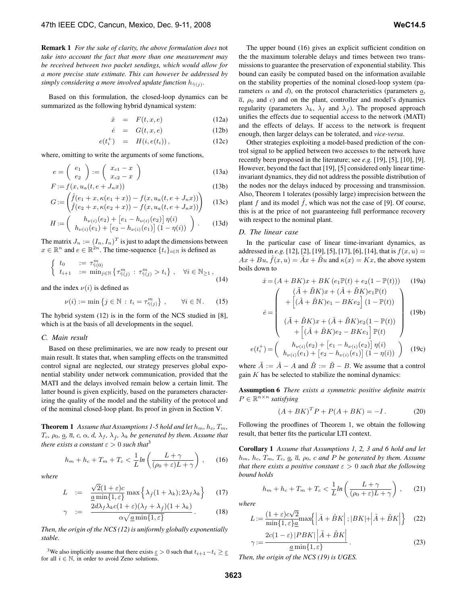Remark 1 *For the sake of clarity, the above formulation does* not *take into account the fact that more than one measurement may be received between two packet sendings, which would allow for a more precise state estimate. This can however be addressed by simply considering a more involved update function*  $h_{\tilde{\gamma}(i)}$ *.* 

Based on this formulation, the closed-loop dynamics can be summarized as the following hybrid dynamical system:

$$
\dot{x} = F(t, x, e) \tag{12a}
$$

$$
\dot{e} = G(t, x, e) \tag{12b}
$$

$$
e(t_i^+) = H(i, e(t_i)), \qquad (12c)
$$

where, omitting to write the arguments of some functions,

$$
e = \begin{pmatrix} e_1 \\ e_2 \end{pmatrix} := \begin{pmatrix} x_{c1} - x \\ x_{c2} - x \end{pmatrix}
$$
 (13a)

$$
F := f(x, u_a(t, e + J_n x))
$$
\n(13b)\n
$$
G := \begin{pmatrix} \hat{f}(e_1 + x, \kappa(e_1 + x)) - f(x, u_a(t, e + J_n x)) \\ \hat{f}(e_2 + x, \kappa(e_2 + x)) - f(x, u_a(t, e + J_n x)) \end{pmatrix}
$$
\n(13c)

$$
\left(f(e_2 + x, \kappa(e_2 + x)) - f(x, u_a(t, e + J_n x))\right) \tag{12.1}
$$
  

$$
u_{1} - \left(\frac{h_{\nu(i)}(e_2) + [e_1 - h_{\nu(i)}(e_2)] \eta(i)}{\eta(i)}\right) \tag{12.2}
$$

$$
H := \begin{pmatrix} h_{\nu(i)}(e_2) + [e_1 - h_{\nu(i)}(e_2)] \eta(i) \\ h_{\nu(i)}(e_1) + [e_2 - h_{\nu(i)}(e_1)] (1 - \eta(i)) \end{pmatrix}.
$$
 (13d)

The matrix  $J_n := (I_n, I_n)^T$  is just to adapt the dimensions between  $x \in \mathbb{R}^n$  and  $e \in \mathbb{R}^{2n}$ . The time-sequence  $\{t_i\}_{i \in \mathbb{N}}$  is defined as

$$
\begin{cases} t_0 &:= \tau_{\tilde{\gamma}(0)}^m \\ t_{i+1} &:= \min_{j \in \mathbb{N}} \left\{ \tau_{\tilde{\gamma}(j)}^m : \tau_{\tilde{\gamma}(j)}^m > t_i \right\}, \quad \forall i \in \mathbb{N}_{\ge 1}, \end{cases}
$$
 (14)

and the index  $\nu(i)$  is defined as

$$
\nu(i) := \min \left\{ j \in \mathbb{N} : t_i = \tau^m_{\tilde{\gamma}(j)} \right\}, \qquad \forall i \in \mathbb{N}.
$$
 (15)

The hybrid system (12) is in the form of the NCS studied in [8], which is at the basis of all developments in the sequel.

## *C. Main result*

Based on these preliminaries, we are now ready to present our main result. It states that, when sampling effects on the transmitted control signal are neglected, our strategy preserves global exponential stability under network communication, provided that the MATI and the delays involved remain below a certain limit. The latter bound is given explicitly, based on the parameters characterizing the quality of the model and the stability of the protocol and of the nominal closed-loop plant. Its proof in given in Section V.

**Theorem 1** Assume that Assumptions 1-5 hold and let  $h_m$ ,  $h_c$ ,  $T_m$ ,  $T_c$ ,  $\rho_0$ ,  $\underline{a}$ ,  $\overline{a}$ ,  $c$ ,  $\alpha$ ,  $d$ ,  $\lambda_f$ ,  $\lambda_f$ ,  $\lambda_k$  *be generated by them. Assume that there exists a constant*  $\varepsilon > 0$  *such that*<sup>3</sup>

$$
h_m + h_c + T_m + T_c < \frac{1}{L} \ln \left( \frac{L + \gamma}{(\rho_0 + \varepsilon)L + \gamma} \right), \qquad (16)
$$

*where*

$$
L := \frac{\sqrt{2}(1+\varepsilon)c}{\underline{a}\min\{1,\varepsilon\}}\max\left\{\lambda_f(1+\lambda_k); 2\lambda_f\lambda_k\right\} \quad (17)
$$

$$
\gamma \quad := \quad \frac{2d\lambda_f \lambda_k c (1+\varepsilon)(\lambda_f + \lambda_{\hat{f}}) (1+\lambda_k)}{\alpha \sqrt{\underline{a} \min\{1,\varepsilon\}}} \,. \tag{18}
$$

*Then, the origin of the NCS (12) is uniformly globally exponentially stable.*

<sup>3</sup>We also implicitly assume that there exists  $\epsilon > 0$  such that  $t_{i+1}-t_i \geq \epsilon$ for all  $i \in \mathbb{N}$ , in order to avoid Zeno solutions.

The upper bound (16) gives an explicit sufficient condition on the the maximum tolerable delays and times between two transmissions to guarantee the preservation of exponential stability. This bound can easily be computed based on the information available on the stability properties of the nominal closed-loop system (parameters  $\alpha$  and d), on the protocol characteristics (parameters  $\alpha$ ,  $\overline{a}$ ,  $\rho_0$  and c) and on the plant, controller and model's dynamics regularity (parameters  $\lambda_k$ ,  $\lambda_f$  and  $\lambda_f$ ). The proposed approach unifies the effects due to sequential access to the network (MATI) and the effects of delays. If access to the network is frequent enough, then larger delays can be tolerated, and *vice-versa*.

Other strategies exploiting a model-based prediction of the control signal to be applied between two accesses to the network have recently been proposed in the literature; see *e.g.* [19], [5], [10], [9]. However, beyond the fact that [19], [5] considered only linear timeinvariant dynamics, they did not address the possible distribution of the nodes nor the delays induced by processing and transmission. Also, Theorem 1 tolerates (possibly large) imprecision between the plant f and its model  $\hat{f}$ , which was not the case of [9]. Of course, this is at the price of not guaranteeing full performance recovery with respect to the nominal plant.

# *D. The linear case*

In the particular case of linear time-invariant dynamics, as addressed in *e.g.* [12], [2], [19], [5], [17], [6], [14], that is  $f(x, u) =$  $Ax + Bu$ ,  $\hat{f}(x, u) = \hat{A}x + \hat{B}u$  and  $\kappa(x) = Kx$ , the above system boils down to

$$
\dot{x} = (A + BK)x + BK(e_1 \mathbb{P}(t) + e_2(1 - \mathbb{P}(t))) \quad (19a)
$$
\n
$$
\dot{e} = \begin{pmatrix}\n(\tilde{A} + \tilde{B}K)x + (\hat{A} + \tilde{B}K)e_1 \mathbb{P}(t) \\
+ [(\hat{A} + \hat{B}K)e_1 - BK e_2] (1 - \mathbb{P}(t)) \\
(\tilde{A} + \tilde{B}K)x + (\hat{A} + \tilde{B}K)e_2(1 - \mathbb{P}(t)) \\
+ [(\hat{A} + \hat{B}K)e_2 - BK e_1] \mathbb{P}(t)\n\end{pmatrix} \quad (19b)
$$
\n
$$
e(t_i^+) = \begin{pmatrix}\nh_{\nu(i)}(e_2) + [e_1 - h_{\nu(i)}(e_2)] \eta(i) \\
h_{\nu(i)}(e_1) + [e_2 - h_{\nu(i)}(e_1)] (1 - \eta(i))\n\end{pmatrix} \quad (19c)
$$

where  $\tilde{A} := \hat{A} - A$  and  $\tilde{B} := \hat{B} - B$ . We assume that a control gain  $K$  has be selected to stabilize the nominal dynamics:

Assumption 6 *There exists a symmetric positive definite matrix*  $P \in \mathbb{R}^{n \times n}$  satisfying

$$
(A + BK)^{T} P + P(A + BK) = -I.
$$
 (20)

Following the prooflines of Theorem 1, we obtain the following result, that better fits the particular LTI context.

Corollary 1 *Assume that Assumptions 1, 2, 3 and 6 hold and let*  $h_m$ ,  $h_c$ ,  $T_m$ ,  $T_c$ ,  $\underline{a}$ ,  $\overline{a}$ ,  $\rho_0$ ,  $c$  and  $P$  *be generated by them. Assume that there exists a positive constant*  $\varepsilon > 0$  *such that the following bound holds*

$$
h_m + h_c + T_m + T_c < \frac{1}{L} \ln \left( \frac{L + \gamma}{(\rho_0 + \varepsilon)L + \gamma} \right), \qquad (21)
$$

*where*

$$
L := \frac{(1+\varepsilon)c\sqrt{2}}{\min\{1,\varepsilon\}\underline{a}} \max\left\{ \left| \hat{A} + \hat{B}K \right|; |BK| + \left| \hat{A} + \tilde{B}K \right| \right\} \quad (22)
$$

$$
\gamma := \frac{2c(1-\varepsilon)\left|PBK\right| \left|\tilde{A} + \tilde{B}K\right|}{\underline{a}\min\{1,\varepsilon\}}.
$$
\n(23)

*Then, the origin of the NCS (19) is UGES.*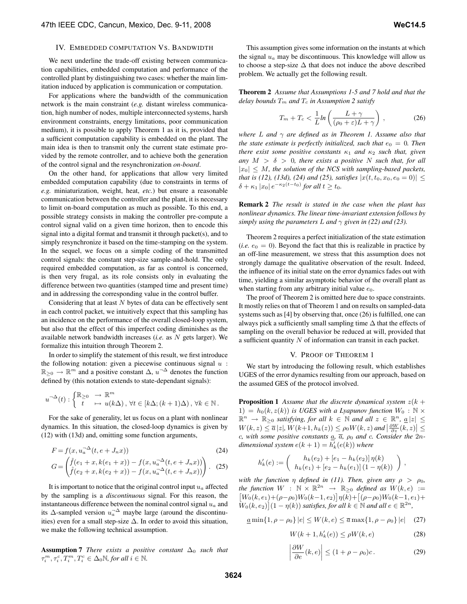We next underline the trade-off existing between communication capabilities, embedded computation and performance of the controlled plant by distinguishing two cases: whether the main limitation induced by application is communication or computation.

For applications where the bandwidth of the communication network is the main constraint (*e.g.* distant wireless communication, high number of nodes, multiple interconnected systems, harsh environment constraints, energy limitations, poor communication medium), it is possible to apply Theorem 1 as it is, provided that a sufficient computation capability is embedded on the plant. The main idea is then to transmit only the current state estimate provided by the remote controller, and to achieve both the generation of the control signal and the resynchronization *on-board*.

On the other hand, for applications that allow very limited embedded computation capability (due to constraints in terms of *e.g.* miniaturization, weight, heat, *etc.*) but ensure a reasonable communication between the controller and the plant, it is necessary to limit on-board computation as much as possible. To this end, a possible strategy consists in making the controller pre-compute a control signal valid on a given time horizon, then to encode this signal into a digital format and transmit it through packet(s), and to simply resynchronize it based on the time-stamping on the system. In the sequel, we focus on a simple coding of the transmitted control signals: the constant step-size sample-and-hold. The only required embedded computation, as far as control is concerned, is then very frugal, as its role consists only in evaluating the difference between two quantities (stamped time and present time) and in addressing the corresponding value in the control buffer.

Considering that at least  $N$  bytes of data can be effectively sent in each control packet, we intuitively expect that this sampling has an incidence on the performance of the overall closed-loop system, but also that the effect of this imperfect coding diminishes as the available network bandwidth increases (*i.e.* as N gets larger). We formalize this intuition through Theorem 2.

In order to simplify the statement of this result, we first introduce the following notation: given a piecewise continuous signal  $u$ :  $\mathbb{R}_{\geq 0} \to \mathbb{R}^m$  and a positive constant  $\Delta$ ,  $u^{-\Delta}$  denotes the function defined by (this notation extends to state-dependant signals):

$$
u^{-\Delta}(t): \left\{\begin{matrix}\mathbb{R}_{\geq 0} & \to & \mathbb{R}^m \\ t & \mapsto & u(k\Delta)\,, \, \forall t \in [k\Delta; (k+1)\Delta)\,, \, \forall k \in \mathbb{N}\,.\end{matrix}\right.
$$

For the sake of generality, let us focus on a plant with nonlinear dynamics. In this situation, the closed-loop dynamics is given by (12) with (13d) and, omitting some function arguments,

$$
F = f(x, u_a^{-\Delta}(t, e + J_n x))
$$
\n(24)  
\n
$$
G = \begin{pmatrix} \hat{f}(e_1 + x, k(e_1 + x)) - f(x, u_a^{-\Delta}(t, e + J_n x)) \\ \hat{f}(e_2 + x, k(e_2 + x)) - f(x, u_a^{-\Delta}(t, e + J_n x)) \end{pmatrix}.
$$
\n(25)

It is important to notice that the original control input  $u_a$  affected by the sampling is a *discontinuous* signal. For this reason, the instantaneous difference between the nominal control signal  $u_a$  and its  $\Delta$ -sampled version  $u_a^{-\Delta}$  maybe large (around the discontinuities) even for a small step-size  $\Delta$ . In order to avoid this situation, we make the following technical assumption.

**Assumption 7** *There exists a positive constant*  $\Delta_0$  *such that*  $\tau_i^m, \tau_i^c, T_i^m, T_i^c \in \Delta_0 \mathbb{N}$ , for all  $i \in \mathbb{N}$ .

This assumption gives some information on the instants at which the signal  $u_a$  may be discontinuous. This knowledge will allow us to choose a step-size ∆ that does not induce the above described problem. We actually get the following result.

Theorem 2 *Assume that Assumptions 1-5 and 7 hold and that the delay bounds*  $T_m$  *and*  $T_c$  *in Assumption 2 satisfy* 

$$
T_m + T_c < \frac{1}{L} \ln \left( \frac{L + \gamma}{(\rho_0 + \varepsilon)L + \gamma} \right) \,,\tag{26}
$$

*where* L *and* γ *are defined as in Theorem 1. Assume also that the state estimate is perfectly initialized, such that*  $e_0 = 0$ *. Then there exist some positive constants*  $\kappa_1$  *and*  $\kappa_2$  *such that, given any*  $M > \delta > 0$ *, there exists a positive* N *such that, for all*  $|x_0| \leq M$ , the solution of the NCS with sampling-based packets, *that is (12), (13d), (24) and (25), satisfies*  $|x(t, t_0, x_0, e_0 = 0)| \le$  $\delta + \kappa_1 |x_0| e^{-\kappa_2 (t - t_0)}$  for all  $t \ge t_0$ .

Remark 2 *The result is stated in the case when the plant has nonlinear dynamics. The linear time-invariant extension follows by simply using the parameters L and*  $\gamma$  *given in* (22) *and* (23).

Theorem 2 requires a perfect initialization of the state estimation (*i.e.*  $e_0 = 0$ ). Beyond the fact that this is realizable in practice by an off-line measurement, we stress that this assumption does not strongly damage the qualitative observation of the result. Indeed, the influence of its initial state on the error dynamics fades out with time, yielding a similar asymptotic behavior of the overall plant as when starting from any arbitrary initial value  $e_0$ .

The proof of Theorem 2 is omitted here due to space constraints. It mostly relies on that of Theorem 1 and on results on sampled-data systems such as [4] by observing that, once (26) is fulfilled, one can always pick a sufficiently small sampling time  $\Delta$  that the effects of sampling on the overall behavior be reduced at will, provided that a sufficient quantity N of information can transit in each packet.

#### V. PROOF OF THEOREM 1

We start by introducing the following result, which establishes UGES of the error dynamics resulting from our approach, based on the assumed GES of the protocol involved.

**Proposition 1** Assume that the discrete dynamical system  $z(k + 1)$  $1) = h_0(k, z(k))$  *is UGES with a Lyapunov function*  $W_0 : \mathbb{N} \times$  $\mathbb{R}^n \to \mathbb{R}_{\geq 0}$  *satisfying, for all*  $k \in \mathbb{N}$  *and all*  $z \in \mathbb{R}^n$ ,  $\underline{a}|z| \leq$  $W(k, z) \leq \overline{a} |z|, W(k+1, h_k(z)) \leq \rho_0 W(k, z)$  and  $\left| \frac{\partial W}{\partial z}(k, z) \right| \leq$ *c*, with some positive constants  $\underline{a}$ ,  $\overline{a}$ ,  $\rho_0$  and *c*. Consider the 2ndimensional system  $e(k + 1) = h'_{k}(e(k))$  where

$$
h'_{k}(e) := \begin{pmatrix} h_{k}(e_{2}) + [e_{1} - h_{k}(e_{2})] \eta(k) \\ h_{k}(e_{1}) + [e_{2} - h_{k}(e_{1})] (1 - \eta(k)) \end{pmatrix},
$$

*with the function*  $\eta$  *defined in (11). Then, given any*  $\rho > \rho_0$ *,* the function  $W$  :  $\mathbb{N} \times \mathbb{R}^{2n} \rightarrow \mathbb{R}_{\geq 0}$  defined as  $W(k, e)$  :=  $[W_0(k, e_1) + (\rho - \rho_0)W_0(k-1, e_2)]\eta(k) + [(\rho - \rho_0)W_0(k-1, e_1) +$  $\mathcal{W}_0(k, e_2)$   $(1 - \eta(k))$  *satisfies, for all*  $k \in \mathbb{N}$  *and all*  $e \in \mathbb{R}^{2n}$ *,* 

$$
\underline{a}\min\{1,\rho-\rho_0\}\,|e| \le W(k,e) \le \overline{a}\max\{1,\rho-\rho_0\}\,|e| \quad (27)
$$

$$
W(k+1, h'_k(e)) \le \rho W(k, e) \tag{28}
$$

$$
\left|\frac{\partial W}{\partial e}(k,e)\right| \le (1+\rho-\rho_0)c.
$$
 (29)